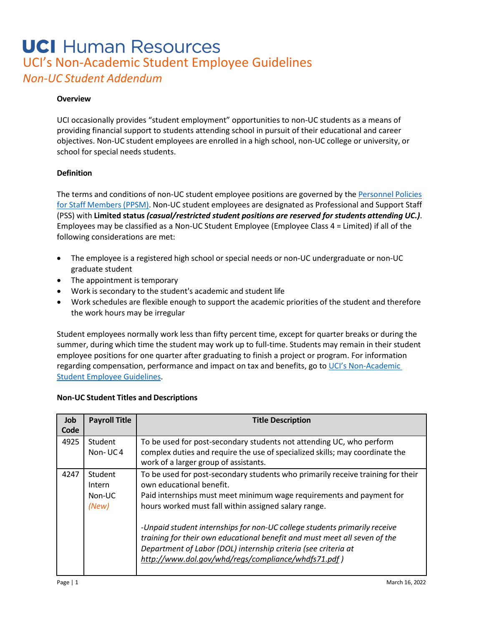## **UCI** Human Resources UCI's Non-Academic Student Employee Guidelines *Non-UC Student Addendum*

#### **Overview**

UCI occasionally provides "student employment" opportunities to non-UC students as a means of providing financial support to students attending school in pursuit of their educational and career objectives. Non-UC student employees are enrolled in a high school, non-UC college or university, or school for special needs students.

#### **Definition**

The terms and conditions of non-UC student employee positions are governed by the [Personnel](https://www.hr.uci.edu/partnership/policies-procedures/) Policies for Staff [Members](https://www.hr.uci.edu/partnership/policies-procedures/) (PPSM). Non-UC student employees are designated as Professional and Support Staff (PSS) with **Limited status** *(casual/restricted student positions are reserved for students attending UC.)*. Employees may be classified as a Non-UC Student Employee (Employee Class 4 = Limited) if all of the following considerations are met:

- The employee is a registered high school or special needs or non-UC undergraduate or non-UC graduate student
- The appointment is temporary
- Work is secondary to the student's academic and student life
- Work schedules are flexible enough to support the academic priorities of the student and therefore the work hours may be irregular

Student employees normally work less than fifty percent time, except for quarter breaks or during the summer, during which time the student may work up to full-time. Students may remain in their student employee positions for one quarter after graduating to finish a project or program. For information regarding compensation, performance and impact on tax and benefits, go to UCI's Non-Academic [Student Employee Guidelines.](https://hr.uci.edu/partnership/totalrewards/files/UCI-Student-Employee-Guidelines.pdf)

#### **Non-UC Student Titles and Descriptions**

| Job<br>Code | <b>Payroll Title</b>                 | <b>Title Description</b>                                                                                                                                                                                                                                                                                                                                                                                                                                                                                                       |
|-------------|--------------------------------------|--------------------------------------------------------------------------------------------------------------------------------------------------------------------------------------------------------------------------------------------------------------------------------------------------------------------------------------------------------------------------------------------------------------------------------------------------------------------------------------------------------------------------------|
| 4925        | Student<br>Non-UC4                   | To be used for post-secondary students not attending UC, who perform<br>complex duties and require the use of specialized skills; may coordinate the<br>work of a larger group of assistants.                                                                                                                                                                                                                                                                                                                                  |
| 4247        | Student<br>Intern<br>Non-UC<br>(New) | To be used for post-secondary students who primarily receive training for their<br>own educational benefit.<br>Paid internships must meet minimum wage requirements and payment for<br>hours worked must fall within assigned salary range.<br>-Unpaid student internships for non-UC college students primarily receive<br>training for their own educational benefit and must meet all seven of the<br>Department of Labor (DOL) internship criteria (see criteria at<br>http://www.dol.gov/whd/regs/compliance/whdfs71.pdf) |